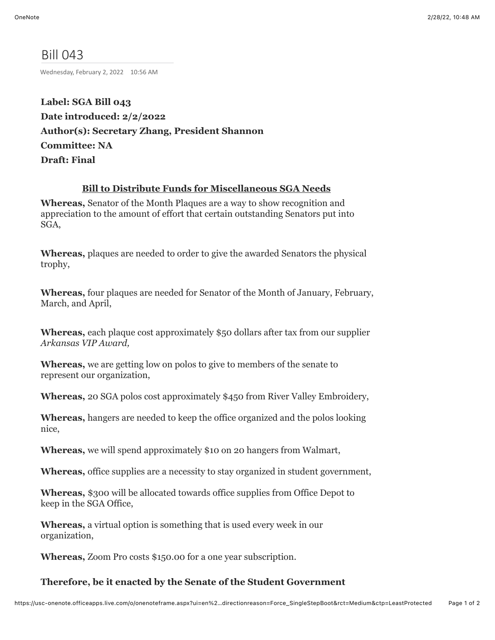# Bill 043

Wednesday, February 2, 2022 10:56 AM

**Label: SGA Bill 043 Date introduced: 2/2/2022 Author(s): Secretary Zhang, President Shannon Committee: NA Draft: Final**

## **Bill to Distribute Funds for Miscellaneous SGA Needs**

**Whereas,** Senator of the Month Plaques are a way to show recognition and appreciation to the amount of effort that certain outstanding Senators put into SGA,

**Whereas,** plaques are needed to order to give the awarded Senators the physical trophy,

**Whereas,** four plaques are needed for Senator of the Month of January, February, March, and April,

**Whereas,** each plaque cost approximately \$50 dollars after tax from our supplier *Arkansas VIP Award,*

**Whereas,** we are getting low on polos to give to members of the senate to represent our organization,

**Whereas,** 20 SGA polos cost approximately \$450 from River Valley Embroidery,

**Whereas,** hangers are needed to keep the office organized and the polos looking nice,

**Whereas,** we will spend approximately \$10 on 20 hangers from Walmart,

**Whereas,** office supplies are a necessity to stay organized in student government,

**Whereas,** \$300 will be allocated towards office supplies from Office Depot to keep in the SGA Office,

**Whereas,** a virtual option is something that is used every week in our organization,

**Whereas,** Zoom Pro costs \$150.00 for a one year subscription.

#### **Therefore, be it enacted by the Senate of the Student Government**